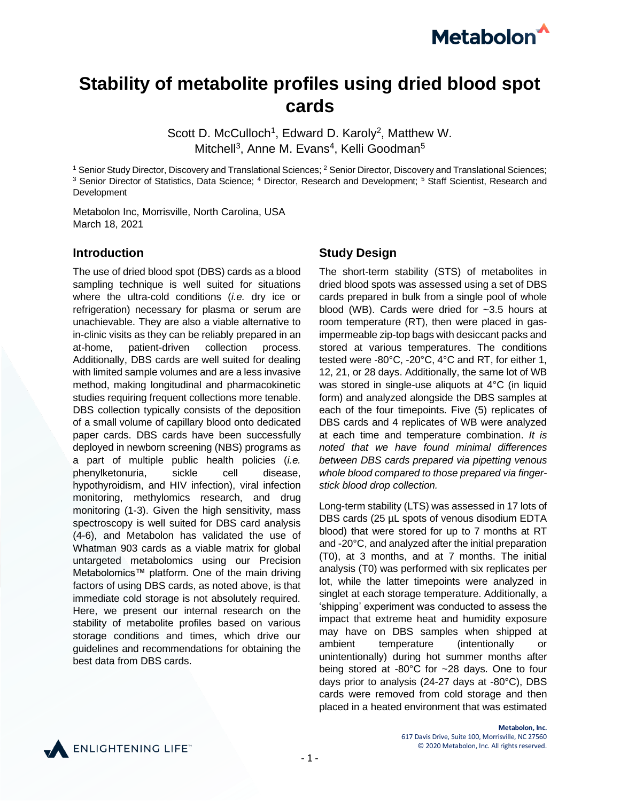

# **Stability of metabolite profiles using dried blood spot cards**

Scott D. McCulloch<sup>1</sup>, Edward D. Karoly<sup>2</sup>, Matthew W. Mitchell<sup>3</sup>, Anne M. Evans<sup>4</sup>, Kelli Goodman<sup>5</sup>

<sup>1</sup> Senior Study Director, Discovery and Translational Sciences; <sup>2</sup> Senior Director, Discovery and Translational Sciences; <sup>3</sup> Senior Director of Statistics, Data Science; <sup>4</sup> Director, Research and Development; <sup>5</sup> Staff Scientist, Research and Development

Metabolon Inc, Morrisville, North Carolina, USA March 18, 2021

### **Introduction**

The use of dried blood spot (DBS) cards as a blood sampling technique is well suited for situations where the ultra-cold conditions (*i.e.* dry ice or refrigeration) necessary for plasma or serum are unachievable. They are also a viable alternative to in-clinic visits as they can be reliably prepared in an at-home, patient-driven collection process. Additionally, DBS cards are well suited for dealing with limited sample volumes and are a less invasive method, making longitudinal and pharmacokinetic studies requiring frequent collections more tenable. DBS collection typically consists of the deposition of a small volume of capillary blood onto dedicated paper cards. DBS cards have been successfully deployed in newborn screening (NBS) programs as a part of multiple public health policies (*i.e.* phenylketonuria, sickle cell disease, hypothyroidism, and HIV infection), viral infection monitoring, methylomics research, and drug monitoring (1-3). Given the high sensitivity, mass spectroscopy is well suited for DBS card analysis (4-6), and Metabolon has validated the use of Whatman 903 cards as a viable matrix for global untargeted metabolomics using our Precision Metabolomics™ platform. One of the main driving factors of using DBS cards, as noted above, is that immediate cold storage is not absolutely required. Here, we present our internal research on the stability of metabolite profiles based on various storage conditions and times, which drive our guidelines and recommendations for obtaining the best data from DBS cards.

## **Study Design**

The short-term stability (STS) of metabolites in dried blood spots was assessed using a set of DBS cards prepared in bulk from a single pool of whole blood (WB). Cards were dried for ~3.5 hours at room temperature (RT), then were placed in gasimpermeable zip-top bags with desiccant packs and stored at various temperatures. The conditions tested were -80°C, -20°C, 4°C and RT, for either 1, 12, 21, or 28 days. Additionally, the same lot of WB was stored in single-use aliquots at 4°C (in liquid form) and analyzed alongside the DBS samples at each of the four timepoints. Five (5) replicates of DBS cards and 4 replicates of WB were analyzed at each time and temperature combination. *It is noted that we have found minimal differences between DBS cards prepared via pipetting venous whole blood compared to those prepared via fingerstick blood drop collection.*

Long-term stability (LTS) was assessed in 17 lots of DBS cards (25 µL spots of venous disodium EDTA blood) that were stored for up to 7 months at RT and -20°C, and analyzed after the initial preparation (T0), at 3 months, and at 7 months. The initial analysis (T0) was performed with six replicates per lot, while the latter timepoints were analyzed in singlet at each storage temperature. Additionally, a 'shipping' experiment was conducted to assess the impact that extreme heat and humidity exposure may have on DBS samples when shipped at ambient temperature (intentionally or unintentionally) during hot summer months after being stored at -80°C for ~28 days. One to four days prior to analysis (24-27 days at -80°C), DBS cards were removed from cold storage and then placed in a heated environment that was estimated



**Metabolon, Inc.** 617 Davis Drive, Suite 100, Morrisville, NC 27560 © 2020 Metabolon, Inc. All rights reserved.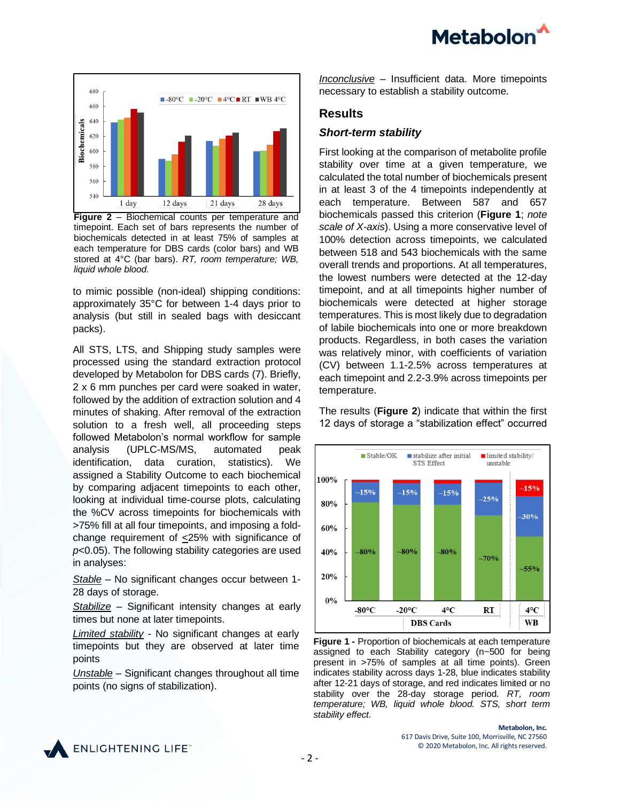**Metabolon** 



**Figure 2** – Biochemical counts per temperature and timepoint. Each set of bars represents the number of biochemicals detected in at least 75% of samples at each temperature for DBS cards (color bars) and WB stored at 4°C (bar bars). *RT, room temperature; WB, liquid whole blood.*

to mimic possible (non-ideal) shipping conditions: approximately 35°C for between 1-4 days prior to analysis (but still in sealed bags with desiccant packs).

All STS, LTS, and Shipping study samples were processed using the standard extraction protocol developed by Metabolon for DBS cards (7). Briefly, 2 x 6 mm punches per card were soaked in water, followed by the addition of extraction solution and 4 minutes of shaking. After removal of the extraction solution to a fresh well, all proceeding steps followed Metabolon's normal workflow for sample analysis (UPLC-MS/MS, automated peak identification, data curation, statistics). We assigned a Stability Outcome to each biochemical by comparing adjacent timepoints to each other, looking at individual time-course plots, calculating the %CV across timepoints for biochemicals with >75% fill at all four timepoints, and imposing a foldchange requirement of <25% with significance of *p*<0.05). The following stability categories are used in analyses:

*Stable* – No significant changes occur between 1- 28 days of storage.

*Stabilize* – Significant intensity changes at early times but none at later timepoints.

*Limited stability* - No significant changes at early timepoints but they are observed at later time points

*Unstable* – Significant changes throughout all time points (no signs of stabilization).

*Inconclusive* – Insufficient data. More timepoints necessary to establish a stability outcome.

### **Results**

### *Short-term stability*

First looking at the comparison of metabolite profile stability over time at a given temperature, we calculated the total number of biochemicals present in at least 3 of the 4 timepoints independently at each temperature. Between 587 and 657 biochemicals passed this criterion (**Figure 1**; *note scale of X-axis*). Using a more conservative level of 100% detection across timepoints, we calculated between 518 and 543 biochemicals with the same overall trends and proportions. At all temperatures, the lowest numbers were detected at the 12-day timepoint, and at all timepoints higher number of biochemicals were detected at higher storage temperatures. This is most likely due to degradation of labile biochemicals into one or more breakdown products. Regardless, in both cases the variation was relatively minor, with coefficients of variation (CV) between 1.1-2.5% across temperatures at each timepoint and 2.2-3.9% across timepoints per temperature.

The results (**Figure 2**) indicate that within the first 12 days of storage a "stabilization effect" occurred



**Figure 1 -** Proportion of biochemicals at each temperature assigned to each Stability category (n~500 for being present in >75% of samples at all time points). Green indicates stability across days 1-28, blue indicates stability after 12-21 days of storage, and red indicates limited or no stability over the 28-day storage period. *RT, room temperature; WB, liquid whole blood. STS, short term stability effect.*

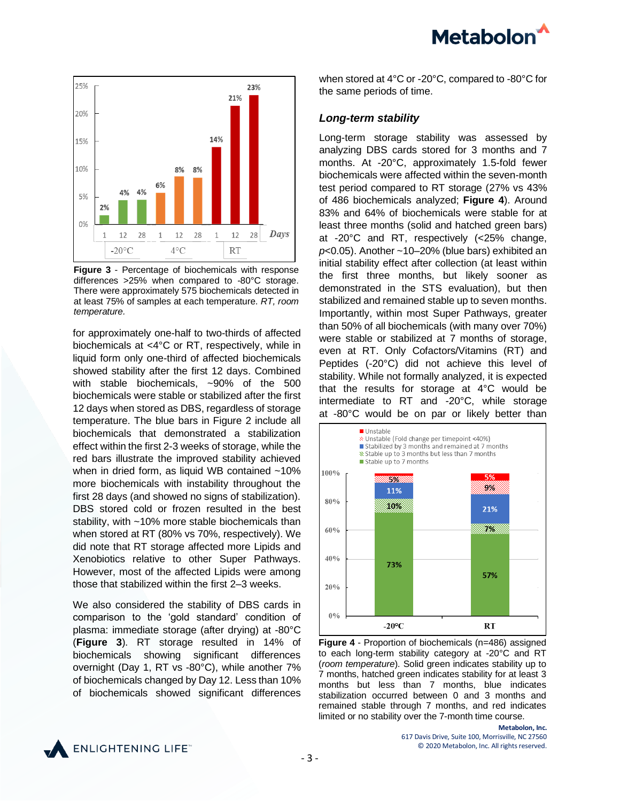# **Metabolon**



**Figure 3** - Percentage of biochemicals with response differences >25% when compared to -80°C storage. There were approximately 575 biochemicals detected in at least 75% of samples at each temperature. *RT, room temperature.*

for approximately one-half to two-thirds of affected biochemicals at <4°C or RT, respectively, while in liquid form only one-third of affected biochemicals showed stability after the first 12 days. Combined with stable biochemicals, ~90% of the 500 biochemicals were stable or stabilized after the first 12 days when stored as DBS, regardless of storage temperature. The blue bars in Figure 2 include all biochemicals that demonstrated a stabilization effect within the first 2-3 weeks of storage, while the red bars illustrate the improved stability achieved when in dried form, as liquid WB contained ~10% more biochemicals with instability throughout the first 28 days (and showed no signs of stabilization). DBS stored cold or frozen resulted in the best stability, with ~10% more stable biochemicals than when stored at RT (80% vs 70%, respectively). We did note that RT storage affected more Lipids and Xenobiotics relative to other Super Pathways. However, most of the affected Lipids were among those that stabilized within the first 2–3 weeks.

We also considered the stability of DBS cards in comparison to the 'gold standard' condition of plasma: immediate storage (after drying) at -80°C (**Figure 3**). RT storage resulted in 14% of biochemicals showing significant differences overnight (Day 1, RT vs -80°C), while another 7% of biochemicals changed by Day 12. Less than 10% of biochemicals showed significant differences when stored at 4°C or -20°C, compared to -80°C for the same periods of time.

### *Long-term stability*

Long-term storage stability was assessed by analyzing DBS cards stored for 3 months and 7 months. At -20°C, approximately 1.5-fold fewer biochemicals were affected within the seven-month test period compared to RT storage (27% vs 43% of 486 biochemicals analyzed; **Figure 4**). Around 83% and 64% of biochemicals were stable for at least three months (solid and hatched green bars) at -20°C and RT, respectively (<25% change, *p*<0.05). Another ~10–20% (blue bars) exhibited an initial stability effect after collection (at least within the first three months, but likely sooner as demonstrated in the STS evaluation), but then stabilized and remained stable up to seven months. Importantly, within most Super Pathways, greater than 50% of all biochemicals (with many over 70%) were stable or stabilized at 7 months of storage, even at RT. Only Cofactors/Vitamins (RT) and Peptides (-20°C) did not achieve this level of stability. While not formally analyzed, it is expected that the results for storage at 4°C would be intermediate to RT and -20°C, while storage at -80°C would be on par or likely better than



**Figure 4** - Proportion of biochemicals (n=486) assigned to each long-term stability category at -20°C and RT (*room temperature*). Solid green indicates stability up to 7 months, hatched green indicates stability for at least 3 months but less than 7 months, blue indicates stabilization occurred between 0 and 3 months and remained stable through 7 months, and red indicates limited or no stability over the 7-month time course.



**Metabolon, Inc.** 617 Davis Drive, Suite 100, Morrisville, NC 27560 © 2020 Metabolon, Inc. All rights reserved.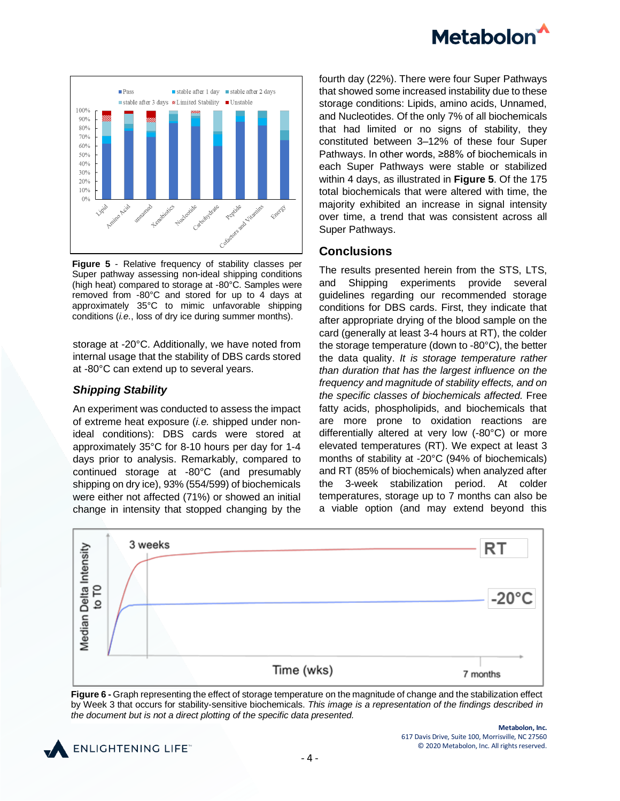



**Figure 5** - Relative frequency of stability classes per Super pathway assessing non-ideal shipping conditions (high heat) compared to storage at -80°C. Samples were removed from -80°C and stored for up to 4 days at approximately 35°C to mimic unfavorable shipping conditions (*i.e.*, loss of dry ice during summer months).

storage at -20°C. Additionally, we have noted from internal usage that the stability of DBS cards stored at -80°C can extend up to several years.

### *Shipping Stability*

An experiment was conducted to assess the impact of extreme heat exposure (*i.e.* shipped under nonideal conditions): DBS cards were stored at approximately 35°C for 8-10 hours per day for 1-4 days prior to analysis. Remarkably, compared to continued storage at -80°C (and presumably shipping on dry ice), 93% (554/599) of biochemicals were either not affected (71%) or showed an initial change in intensity that stopped changing by the

fourth day (22%). There were four Super Pathways that showed some increased instability due to these storage conditions: Lipids, amino acids, Unnamed, and Nucleotides. Of the only 7% of all biochemicals that had limited or no signs of stability, they constituted between 3–12% of these four Super Pathways. In other words, ≥88% of biochemicals in each Super Pathways were stable or stabilized within 4 days, as illustrated in **Figure 5**. Of the 175 total biochemicals that were altered with time, the majority exhibited an increase in signal intensity over time, a trend that was consistent across all Super Pathways.

### **Conclusions**

The results presented herein from the STS, LTS, and Shipping experiments provide several guidelines regarding our recommended storage conditions for DBS cards. First, they indicate that after appropriate drying of the blood sample on the card (generally at least 3-4 hours at RT), the colder the storage temperature (down to -80°C), the better the data quality. *It is storage temperature rather than duration that has the largest influence on the frequency and magnitude of stability effects, and on the specific classes of biochemicals affected.* Free fatty acids, phospholipids, and biochemicals that are more prone to oxidation reactions are differentially altered at very low (-80°C) or more elevated temperatures (RT). We expect at least 3 months of stability at -20°C (94% of biochemicals) and RT (85% of biochemicals) when analyzed after the 3-week stabilization period. At colder temperatures, storage up to 7 months can also be a viable option (and may extend beyond this



**Figure 6 -** Graph representing the effect of storage temperature on the magnitude of change and the stabilization effect by Week 3 that occurs for stability-sensitive biochemicals. *This image is a representation of the findings described in the document but is not a direct plotting of the specific data presented.*